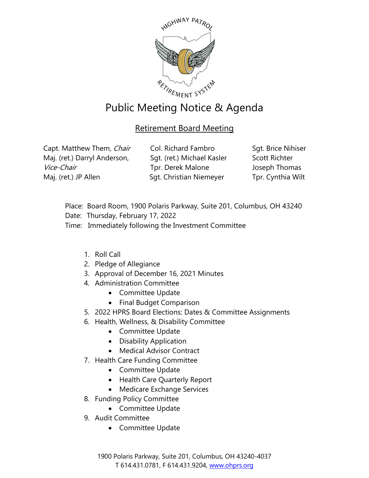

## Public Meeting Notice & Agenda

## Retirement Board Meeting

Capt. Matthew Them, Chair Maj. (ret.) Darryl Anderson, Vice-Chair Maj. (ret.) JP Allen

Col. Richard Fambro Sgt. (ret.) Michael Kasler Tpr. Derek Malone Sgt. Christian Niemeyer

Sgt. Brice Nihiser Scott Richter Joseph Thomas Tpr. Cynthia Wilt

- Place: Board Room, 1900 Polaris Parkway, Suite 201, Columbus, OH 43240
- Date: Thursday, February 17, 2022
- Time: Immediately following the Investment Committee
	- 1. Roll Call
	- 2. Pledge of Allegiance
	- 3. Approval of December 16, 2021 Minutes
	- 4. Administration Committee
		- Committee Update
		- Final Budget Comparison
	- 5. 2022 HPRS Board Elections: Dates & Committee Assignments
	- 6. Health, Wellness, & Disability Committee
		- Committee Update
		- Disability Application
		- Medical Advisor Contract
	- 7. Health Care Funding Committee
		- Committee Update
		- Health Care Quarterly Report
		- Medicare Exchange Services
	- 8. Funding Policy Committee
		- Committee Update
	- 9. Audit Committee
		- Committee Update

1900 Polaris Parkway, Suite 201, Columbus, OH 43240-4037 T 614.431.0781, F 614.431.9204, [www.ohprs.org](http://www.ohprs.org/)